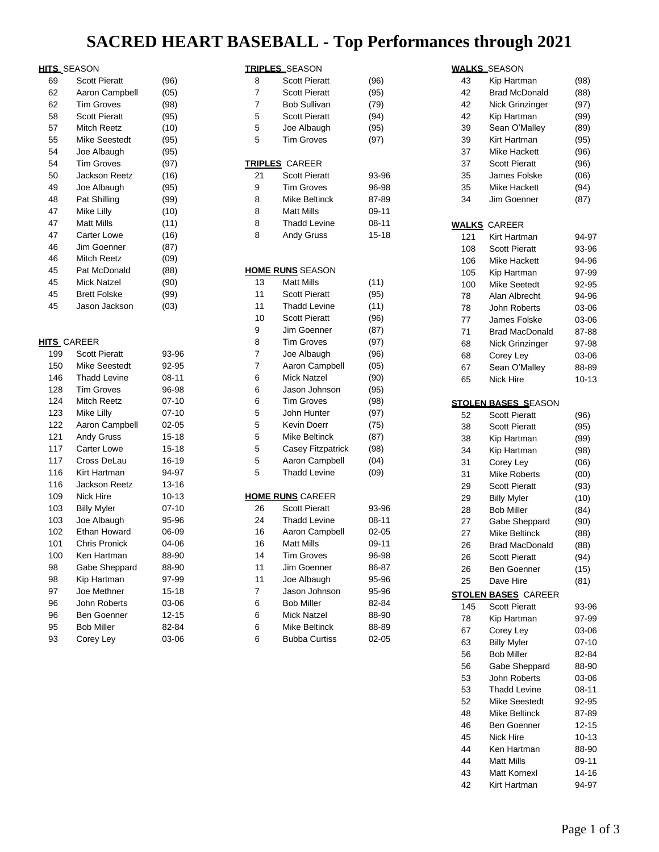## **SACRED HEART BASEBALL - Top Performances through 2021**

## **HITS** SEASON

|    | ILLƏ_ƏEAƏUN          |      |
|----|----------------------|------|
| 69 | <b>Scott Pieratt</b> | (96) |
| 62 | Aaron Campbell       | (05) |
| 62 | <b>Tim Groves</b>    | (98) |
| 58 | <b>Scott Pieratt</b> | (95) |
| 57 | Mitch Reetz          | (10) |
| 55 | Mike Seestedt        | (95) |
| 54 | Joe Albaugh          | (95) |
| 54 | <b>Tim Groves</b>    | (97) |
| 50 | Jackson Reetz        | (16) |
| 49 | Joe Albaugh          | (95) |
| 48 | Pat Shilling         | (99) |
| 47 | Mike Lilly           | (10) |
| 47 | <b>Matt Mills</b>    | (11) |
| 47 | <b>Carter Lowe</b>   | (16) |
| 46 | Jim Goenner          | (87) |
| 46 | Mitch Reetz          | (09) |
| 45 | Pat McDonald         | (88) |
| 45 | Mick Natzel          | (90) |
| 45 | <b>Brett Folske</b>  | (99) |
| 45 | Jason Jackson        | (03) |
|    |                      |      |
|    |                      |      |

### **HITS** CAREER

| 199 | <b>Scott Pieratt</b> | 93-96     |
|-----|----------------------|-----------|
| 150 | Mike Seestedt        | 92-95     |
| 146 | <b>Thadd Levine</b>  | 08-11     |
| 128 | <b>Tim Groves</b>    | 96-98     |
| 124 | Mitch Reetz          | $07 - 10$ |
| 123 | Mike Lilly           | $07 - 10$ |
| 122 | Aaron Campbell       | $02 - 05$ |
| 121 | Andy Gruss           | 15-18     |
| 117 | Carter Lowe          | $15 - 18$ |
| 117 | Cross DeLau          | 16-19     |
| 116 | Kirt Hartman         | 94-97     |
| 116 | Jackson Reetz        | 13-16     |
| 109 | Nick Hire            | $10 - 13$ |
| 103 | <b>Billy Myler</b>   | $07 - 10$ |
| 103 | Joe Albaugh          | 95-96     |
| 102 | Ethan Howard         | 06-09     |
| 101 | Chris Pronick        | 04-06     |
| 100 | Ken Hartman          | 88-90     |
| 98  | Gabe Sheppard        | 88-90     |
| 98  | Kip Hartman          | 97-99     |
| 97  | Joe Methner          | 15-18     |
| 96  | John Roberts         | 03-06     |
| 96  | <b>Ben Goenner</b>   | 12-15     |
| 95  | <b>Bob Miller</b>    | 82-84     |
| 93  | Corey Ley            | 03-06     |

|                | <b>TRIPLES_SEASON</b>   |           |
|----------------|-------------------------|-----------|
| 8              | <b>Scott Pieratt</b>    | (96)      |
| 7              | <b>Scott Pieratt</b>    | (95)      |
| 7              | Bob Sullivan            | (79)      |
| 5              | <b>Scott Pieratt</b>    | (94)      |
| 5              | Joe Albaugh             | (95)      |
| 5              | <b>Tim Groves</b>       | (97)      |
|                | <b>TRIPLES</b> CAREER   |           |
| 21             | <b>Scott Pieratt</b>    | 93-96     |
| 9              | <b>Tim Groves</b>       | 96-98     |
| 8              | Mike Beltinck           | 87-89     |
| 8              | <b>Matt Mills</b>       | 09-11     |
| 8              | <b>Thadd Levine</b>     | $08 - 11$ |
| 8              | <b>Andy Gruss</b>       | $15 - 18$ |
|                |                         |           |
|                | <b>HOME RUNS SEASON</b> |           |
| 13             | Matt Mills              | (11)      |
| 11             | <b>Scott Pieratt</b>    | (95)      |
| 11             | <b>Thadd Levine</b>     | (11)      |
| 10             | <b>Scott Pieratt</b>    | (96)      |
| 9              | Jim Goenner             | (87)      |
| 8              | <b>Tim Groves</b>       | (97)      |
| $\overline{7}$ | Joe Albaugh             | (96)      |
| 7              | Aaron Campbell          | (05)      |
| 6              | Mick Natzel             | (90)      |
| 6              | Jason Johnson           | (95)      |
| 6              | <b>Tim Groves</b>       | (98)      |
| 5              | John Hunter             | (97)      |
| 5              | Kevin Doerr             | (75)      |
| 5              | Mike Beltinck           | (87)      |
| 5              | Casey Fitzpatrick       | (98)      |
| 5              | Aaron Campbell          | (04)      |
| 5              | <b>Thadd Levine</b>     | (09)      |
|                | <b>HOME RUNS CAREER</b> |           |
| 26             | <b>Scott Pieratt</b>    | 93-96     |
| 24             | <b>Thadd Levine</b>     | $08 - 11$ |
| 16             | Aaron Campbell          | $02 - 05$ |
| 16             | Matt Mills              | 09-11     |
| 14             | <b>Tim Groves</b>       | 96-98     |
| 11             | Jim Goenner             | 86-87     |
| 11             | Joe Albaugh             | 95-96     |
| 7              | Jason Johnson           | 95-96     |
| 6              | <b>Bob Miller</b>       | 82-84     |
| 6              | Mick Natzel             | 88-90     |
| 6              | Mike Beltinck           | 88-89     |
| 6              | <b>Bubba Curtiss</b>    | 02-05     |

|       | <b>WALKS_SEASON</b>                     |           |
|-------|-----------------------------------------|-----------|
| 43    | Kip Hartman                             | (98)      |
| 42    | <b>Brad McDonald</b>                    | (88)      |
| 42    | Nick Grinzinger                         | (97)      |
| 42    | Kip Hartman                             | (99)      |
| 39    | Sean O'Malley                           | (89)      |
| 39    | Kirt Hartman                            | (95)      |
| 37    | Mike Hackett                            | (96)      |
| 37    | <b>Scott Pieratt</b>                    | (96)      |
| 35    | James Folske                            | (06)      |
| 35    | Mike Hackett                            | (94)      |
| 34    | Jim Goenner                             | (87)      |
| WALKS | CAREER                                  |           |
| 121   | Kirt Hartman                            | 94-97     |
| 108   | <b>Scott Pieratt</b>                    | 93-96     |
| 106   | Mike Hackett                            | 94-96     |
| 105   | Kip Hartman                             | 97-99     |
| 100   | Mike Seetedt                            | 92-95     |
| 78    | Alan Albrecht                           | 94-96     |
| 78    | John Roberts                            | 03-06     |
| 77    | James Folske                            | 03-06     |
| 71    | <b>Brad MacDonald</b>                   | 87-88     |
| 68    | Nick Grinzinger                         | 97-98     |
| 68    | Corey Ley                               | 03-06     |
| 67    | Sean O'Malley                           | 88-89     |
| 65    | Nick Hire                               | $10 - 13$ |
|       |                                         |           |
|       | <mark>stolen bases S</mark> eason       |           |
| 52    | <b>Scott Pieratt</b>                    | (96)      |
| 38    | <b>Scott Pieratt</b>                    | (95)      |
| 38    | Kip Hartman                             | (99)      |
| 34    | Kip Hartman                             | (98)      |
| 31    | Corey Ley                               | (06)      |
| 31    | <b>Mike Roberts</b>                     | (00)      |
| 29    | <b>Scott Pieratt</b>                    | (93)      |
| 29    | <b>Billy Myler</b>                      | (10)      |
| 28    | <b>Bob Miller</b>                       | (84)      |
| 27    | Gabe Sheppard                           | (90)      |
| 27    | <b>Mike Beltinck</b>                    | (88)      |
| 26    | Brad MacDonald                          | (88)      |
| 26    | <b>Scott Pieratt</b>                    | (94)      |
| 26    | Ben Goenner                             | (15)      |
| 25    | Dave Hire<br><b>STOLEN BASES CAREER</b> | (81)      |
| 145   | <b>Scott Pieratt</b>                    | 93-96     |
| 78    | Kip Hartman                             | 97-99     |
| 67    | Corey Ley                               | 03-06     |
| 63    | <b>Billy Myler</b>                      | $07 - 10$ |
| 56    | <b>Bob Miller</b>                       | 82-84     |
| 56    | Gabe Sheppard                           | 88-90     |
| 53    | John Roberts                            | 03-06     |
| 53    | <b>Thadd Levine</b>                     | 08-11     |
| 52    | <b>Mike Seestedt</b>                    | 92-95     |
| 48    | <b>Mike Beltinck</b>                    | 87-89     |
| 46    | Ben Goenner                             | 12-15     |
| 45    | Nick Hire                               | 10-13     |
| 44    | Ken Hartman                             | 88-90     |
| 44    | Matt Mills                              | 09-11     |
| 43    | Matt Kornexl                            | 14-16     |
| 42    | Kirt Hartman                            | 94-97     |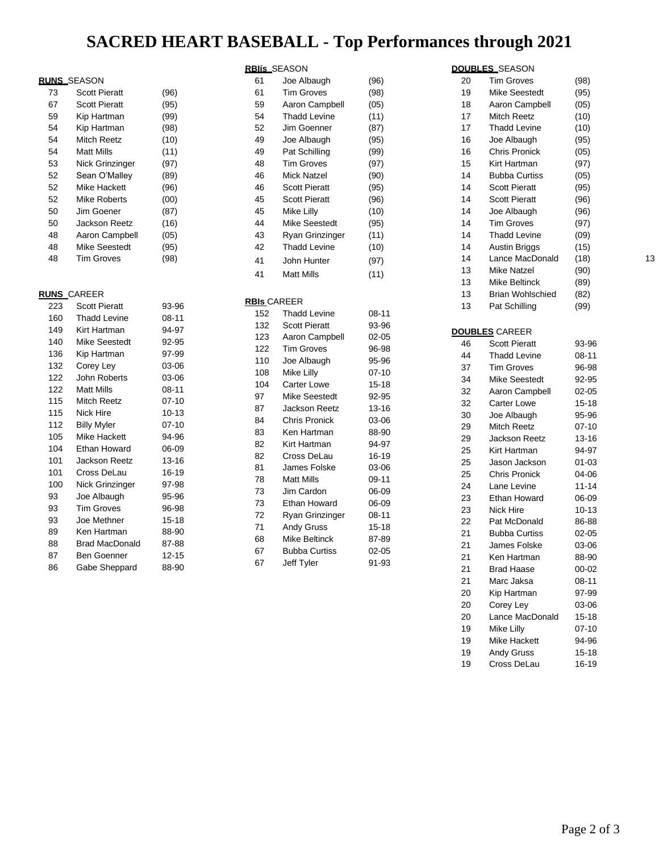## **SACRED HEART BASEBALL - Top Performances through 2021**

### **RUNS** SEASON

| 73 | <b>Scott Pieratt</b> | (96) |
|----|----------------------|------|
| 67 | <b>Scott Pieratt</b> | (95) |
| 59 | Kip Hartman          | (99) |
| 54 | Kip Hartman          | (98) |
| 54 | Mitch Reetz          | (10) |
| 54 | Matt Mills           | (11) |
| 53 | Nick Grinzinger      | (97) |
| 52 | Sean O'Malley        | (89) |
| 52 | Mike Hackett         | (96) |
| 52 | Mike Roberts         | (00) |
| 50 | Jim Goener           | (87) |
| 50 | Jackson Reetz        | (16) |
| 48 | Aaron Campbell       | (05) |
| 48 | Mike Seestedt        | (95) |
| 48 | <b>Tim Groves</b>    | (98) |
|    |                      |      |

#### **RUNS** CAREER

| 223 | <b>Scott Pieratt</b> | 93-96     |
|-----|----------------------|-----------|
| 160 | Thadd Levine         | 08-11     |
| 149 | Kirt Hartman         | 94-97     |
| 140 | Mike Seestedt        | 92-95     |
| 136 | Kip Hartman          | 97-99     |
| 132 | Corey Ley            | 03-06     |
| 122 | John Roberts         | 03-06     |
| 122 | <b>Matt Mills</b>    | 08-11     |
| 115 | Mitch Reetz          | 07-10     |
| 115 | Nick Hire            | $10 - 13$ |
| 112 | <b>Billy Myler</b>   | $07-10$   |
| 105 | Mike Hackett         | 94-96     |
| 104 | Ethan Howard         | 06-09     |
| 101 | Jackson Reetz        | 13-16     |
| 101 | Cross DeLau          | 16-19     |
| 100 | Nick Grinzinger      | 97-98     |
| 93  | Joe Albaugh          | 95-96     |
| 93  | <b>Tim Groves</b>    | 96-98     |
| 93  | Joe Methner          | 15-18     |
| 89  | Ken Hartman          | 88-90     |
| 88  | Brad MacDonald       | 87-88     |
| 87  | Ben Goenner          | 12-15     |
| 86  | Gabe Sheppard        | 88-90     |

#### **RBIís** SEASON

| Joe Albaugh          | (96) |
|----------------------|------|
| Tim Groves           | (98) |
| Aaron Campbell       | (05) |
| <b>Thadd Levine</b>  | (11) |
| Jim Goenner          | (87) |
| Joe Albaugh          | (95) |
| Pat Schilling        | (99) |
| <b>Tim Groves</b>    | (97) |
| Mick Natzel          | (90) |
| <b>Scott Pieratt</b> | (95) |
| <b>Scott Pieratt</b> | (96) |
| Mike Lilly           | (10) |
| Mike Seestedt        | (95) |
| Ryan Grinzinger      | (11) |
| Thadd Levine         | (10) |
| John Hunter          | (97) |
| Matt Mills           | (11) |
|                      |      |

#### **RBIs** CAREER

| 152 | <b>Thadd Levine</b>  | 08-11     |
|-----|----------------------|-----------|
| 132 | <b>Scott Pieratt</b> | 93-96     |
| 123 | Aaron Campbell       | $02 - 05$ |
| 122 | <b>Tim Groves</b>    | 96-98     |
| 110 | Joe Albaugh          | 95-96     |
| 108 | Mike Lilly           | $07 - 10$ |
| 104 | <b>Carter Lowe</b>   | 15-18     |
| 97  | <b>Mike Seestedt</b> | 92-95     |
| 87  | <b>Jackson Reetz</b> | 13-16     |
| 84  | <b>Chris Pronick</b> | 03-06     |
| 83  | Ken Hartman          | 88-90     |
| 82  | Kirt Hartman         | 94-97     |
| 82  | Cross DeLau          | 16-19     |
| 81  | James Folske         | 03-06     |
| 78  | <b>Matt Mills</b>    | 09-11     |
| 73  | Jim Cardon           | 06-09     |
| 73  | Ethan Howard         | 06-09     |
| 72  | Ryan Grinzinger      | 08-11     |
| 71  | <b>Andy Gruss</b>    | 15-18     |
| 68  | Mike Beltinck        | 87-89     |
| 67  | <b>Bubba Curtiss</b> | $02 - 05$ |
| 67  | Jeff Tyler           | 91-93     |

#### **DOUBLES** SEASON

| 20 | <b>Tim Groves</b>       | (98)      |    |
|----|-------------------------|-----------|----|
| 19 | <b>Mike Seestedt</b>    | (95)      |    |
| 18 | Aaron Campbell          | (05)      |    |
| 17 | Mitch Reetz             | (10)      |    |
| 17 | <b>Thadd Levine</b>     | (10)      |    |
| 16 | Joe Albaugh             | (95)      |    |
| 16 | Chris Pronick           | (05)      |    |
| 15 | Kirt Hartman            | (97)      |    |
|    |                         |           |    |
| 14 | <b>Bubba Curtiss</b>    | (05)      |    |
| 14 | <b>Scott Pieratt</b>    | (95)      |    |
| 14 | <b>Scott Pieratt</b>    | (96)      |    |
| 14 | Joe Albaugh             | (96)      |    |
| 14 | <b>Tim Groves</b>       | (97)      |    |
| 14 | <b>Thadd Levine</b>     | (09)      |    |
| 14 | <b>Austin Briggs</b>    | (15)      |    |
| 14 | Lance MacDonald         | (18)      | 13 |
| 13 | <b>Mike Natzel</b>      | (90)      |    |
| 13 | Mike Beltinck           | (89)      |    |
| 13 | <b>Brian Wohlschied</b> | (82)      |    |
| 13 | Pat Schilling           | (99)      |    |
|    |                         |           |    |
|    | <b>DOUBLES CAREER</b>   |           |    |
| 46 | <b>Scott Pieratt</b>    | 93-96     |    |
| 44 | <b>Thadd Levine</b>     | 08-11     |    |
| 37 | <b>Tim Groves</b>       | 96-98     |    |
| 34 | <b>Mike Seestedt</b>    | 92-95     |    |
| 32 | Aaron Campbell          | 02-05     |    |
| 32 | <b>Carter Lowe</b>      | 15-18     |    |
| 30 | Joe Albaugh             | 95-96     |    |
| 29 | Mitch Reetz             | 07-10     |    |
| 29 | <b>Jackson Reetz</b>    |           |    |
|    |                         | 13-16     |    |
| 25 | Kirt Hartman            | 94-97     |    |
| 25 | Jason Jackson           | 01-03     |    |
| 25 | <b>Chris Pronick</b>    | 04-06     |    |
| 24 | Lane Levine             | 11-14     |    |
| 23 | Ethan Howard            | 06-09     |    |
| 23 | Nick Hire               | 10-13     |    |
| 22 | Pat McDonald            | 86-88     |    |
| 21 | <b>Bubba Curtiss</b>    | $02 - 05$ |    |
| 21 | James Folske            | 03-06     |    |
| 21 | Ken Hartman             | 88-90     |    |
| 21 | <b>Brad Haase</b>       | 00-02     |    |
| 21 | Marc Jaksa              | $08 - 11$ |    |
| 20 | Kip Hartman             | 97-99     |    |
| 20 | Corey Ley               | 03-06     |    |
| 20 | Lance MacDonald         | 15-18     |    |
| 19 | Mike Lilly              | 07-10     |    |
| 19 | Mike Hackett            | 94-96     |    |
| 19 | Andy Gruss              | 15-18     |    |
| 19 | Cross DeLau             | 16-19     |    |